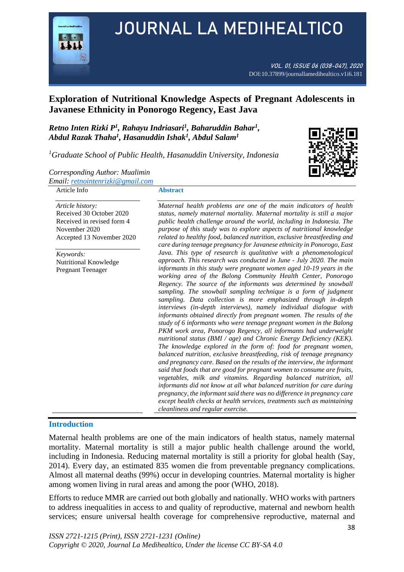

# JOURNAL LA MEDIHEALTICO

VOL. 01, ISSUE 06 (038-047), 2020 DOI:10.37899/journallamedihealtico.v1i6.181

# **Exploration of Nutritional Knowledge Aspects of Pregnant Adolescents in Javanese Ethnicity in Ponorogo Regency, East Java**

*Retno Inten Rizki P<sup>1</sup> , Rahayu Indriasari<sup>1</sup> , Baharuddin Bahar<sup>1</sup> , Abdul Razak Thaha<sup>1</sup> , Hasanuddin Ishak<sup>1</sup> , Abdul Salam<sup>1</sup>*

*<sup>1</sup>Graduate School of Public Health, Hasanuddin University, Indonesia*



*Corresponding Author: Mualimin Email[: retnointenrizki@gmail.com](mailto:retnointenrizki@gmail.com)*

#### Article Info

#### **Abstract**

*Article history:*  Received 30 October 2020 Received in revised form 4 November 2020 Accepted 13 November 2020

*Keywords:* Nutritional Knowledge Pregnant Teenager

*Maternal health problems are one of the main indicators of health status, namely maternal mortality. Maternal mortality is still a major public health challenge around the world, including in Indonesia. The purpose of this study was to explore aspects of nutritional knowledge related to healthy food, balanced nutrition, exclusive breastfeeding and care during teenage pregnancy for Javanese ethnicity in Ponorogo, East Java. This type of research is qualitative with a phenomenological approach. This research was conducted in June - July 2020. The main informants in this study were pregnant women aged 10-19 years in the working area of the Balong Community Health Center, Ponorogo Regency. The source of the informants was determined by snowball sampling. The snowball sampling technique is a form of judgment sampling. Data collection is more emphasized through in-depth interviews (in-depth interviews), namely individual dialogue with informants obtained directly from pregnant women. The results of the study of 6 informants who were teenage pregnant women in the Balong PKM work area, Ponorogo Regency, all informants had underweight nutritional status (BMI / age) and Chronic Energy Deficiency (KEK). The knowledge explored in the form of: food for pregnant women, balanced nutrition, exclusive breastfeeding, risk of teenage pregnancy and pregnancy care. Based on the results of the interview, the informant said that foods that are good for pregnant women to consume are fruits, vegetables, milk and vitamins. Regarding balanced nutrition, all informants did not know at all what balanced nutrition for care during pregnancy, the informant said there was no difference in pregnancy care except health checks at health services, treatments such as maintaining cleanliness and regular exercise.*

#### **Introduction**

Maternal health problems are one of the main indicators of health status, namely maternal mortality. Maternal mortality is still a major public health challenge around the world, including in Indonesia. Reducing maternal mortality is still a priority for global health (Say, 2014). Every day, an estimated 835 women die from preventable pregnancy complications. Almost all maternal deaths (99%) occur in developing countries. Maternal mortality is higher among women living in rural areas and among the poor (WHO, 2018).

Efforts to reduce MMR are carried out both globally and nationally. WHO works with partners to address inequalities in access to and quality of reproductive, maternal and newborn health services; ensure universal health coverage for comprehensive reproductive, maternal and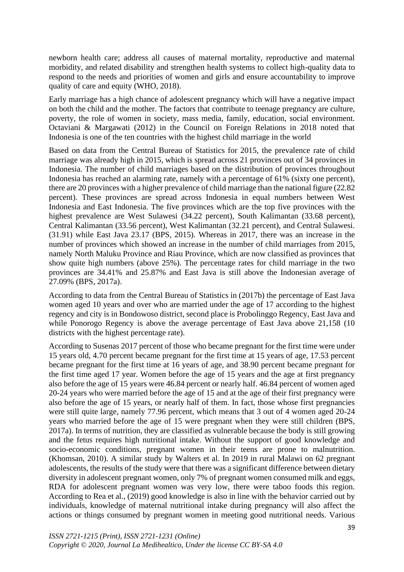newborn health care; address all causes of maternal mortality, reproductive and maternal morbidity, and related disability and strengthen health systems to collect high-quality data to respond to the needs and priorities of women and girls and ensure accountability to improve quality of care and equity (WHO, 2018).

Early marriage has a high chance of adolescent pregnancy which will have a negative impact on both the child and the mother. The factors that contribute to teenage pregnancy are culture, poverty, the role of women in society, mass media, family, education, social environment. Octaviani & Margawati (2012) in the Council on Foreign Relations in 2018 noted that Indonesia is one of the ten countries with the highest child marriage in the world

Based on data from the Central Bureau of Statistics for 2015, the prevalence rate of child marriage was already high in 2015, which is spread across 21 provinces out of 34 provinces in Indonesia. The number of child marriages based on the distribution of provinces throughout Indonesia has reached an alarming rate, namely with a percentage of 61% (sixty one percent), there are 20 provinces with a higher prevalence of child marriage than the national figure (22.82 percent). These provinces are spread across Indonesia in equal numbers between West Indonesia and East Indonesia. The five provinces which are the top five provinces with the highest prevalence are West Sulawesi (34.22 percent), South Kalimantan (33.68 percent), Central Kalimantan (33.56 percent), West Kalimantan (32.21 percent), and Central Sulawesi. (31.91) while East Java 23.17 (BPS, 2015). Whereas in 2017, there was an increase in the number of provinces which showed an increase in the number of child marriages from 2015, namely North Maluku Province and Riau Province, which are now classified as provinces that show quite high numbers (above 25%). The percentage rates for child marriage in the two provinces are 34.41% and 25.87% and East Java is still above the Indonesian average of 27.09% (BPS, 2017a).

According to data from the Central Bureau of Statistics in (2017b) the percentage of East Java women aged 10 years and over who are married under the age of 17 according to the highest regency and city is in Bondowoso district, second place is Probolinggo Regency, East Java and while Ponorogo Regency is above the average percentage of East Java above 21,158 (10 districts with the highest percentage rate).

According to Susenas 2017 percent of those who became pregnant for the first time were under 15 years old, 4.70 percent became pregnant for the first time at 15 years of age, 17.53 percent became pregnant for the first time at 16 years of age, and 38.90 percent became pregnant for the first time aged 17 year. Women before the age of 15 years and the age at first pregnancy also before the age of 15 years were 46.84 percent or nearly half. 46.84 percent of women aged 20-24 years who were married before the age of 15 and at the age of their first pregnancy were also before the age of 15 years, or nearly half of them. In fact, those whose first pregnancies were still quite large, namely 77.96 percent, which means that 3 out of 4 women aged 20-24 years who married before the age of 15 were pregnant when they were still children (BPS, 2017a). In terms of nutrition, they are classified as vulnerable because the body is still growing and the fetus requires high nutritional intake. Without the support of good knowledge and socio-economic conditions, pregnant women in their teens are prone to malnutrition. (Khomsan, 2010). A similar study by Walters et al. In 2019 in rural Malawi on 62 pregnant adolescents, the results of the study were that there was a significant difference between dietary diversity in adolescent pregnant women, only 7% of pregnant women consumed milk and eggs, RDA for adolescent pregnant women was very low, there were taboo foods this region. According to Rea et al., (2019) good knowledge is also in line with the behavior carried out by individuals, knowledge of maternal nutritional intake during pregnancy will also affect the actions or things consumed by pregnant women in meeting good nutritional needs. Various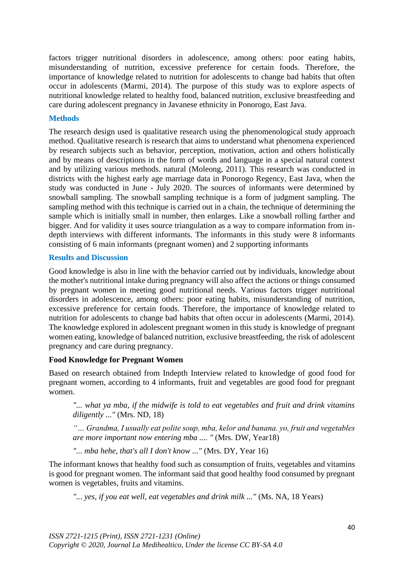factors trigger nutritional disorders in adolescence, among others: poor eating habits, misunderstanding of nutrition, excessive preference for certain foods. Therefore, the importance of knowledge related to nutrition for adolescents to change bad habits that often occur in adolescents (Marmi, 2014). The purpose of this study was to explore aspects of nutritional knowledge related to healthy food, balanced nutrition, exclusive breastfeeding and care during adolescent pregnancy in Javanese ethnicity in Ponorogo, East Java.

### **Methods**

The research design used is qualitative research using the phenomenological study approach method. Qualitative research is research that aims to understand what phenomena experienced by research subjects such as behavior, perception, motivation, action and others holistically and by means of descriptions in the form of words and language in a special natural context and by utilizing various methods. natural (Moleong, 2011). This research was conducted in districts with the highest early age marriage data in Ponorogo Regency, East Java, when the study was conducted in June - July 2020. The sources of informants were determined by snowball sampling. The snowball sampling technique is a form of judgment sampling. The sampling method with this technique is carried out in a chain, the technique of determining the sample which is initially small in number, then enlarges. Like a snowball rolling farther and bigger. And for validity it uses source triangulation as a way to compare information from indepth interviews with different informants. The informants in this study were 8 informants consisting of 6 main informants (pregnant women) and 2 supporting informants

# **Results and Discussion**

Good knowledge is also in line with the behavior carried out by individuals, knowledge about the mother's nutritional intake during pregnancy will also affect the actions or things consumed by pregnant women in meeting good nutritional needs. Various factors trigger nutritional disorders in adolescence, among others: poor eating habits, misunderstanding of nutrition, excessive preference for certain foods. Therefore, the importance of knowledge related to nutrition for adolescents to change bad habits that often occur in adolescents (Marmi, 2014). The knowledge explored in adolescent pregnant women in this study is knowledge of pregnant women eating, knowledge of balanced nutrition, exclusive breastfeeding, the risk of adolescent pregnancy and care during pregnancy.

#### **Food Knowledge for Pregnant Women**

Based on research obtained from Indepth Interview related to knowledge of good food for pregnant women, according to 4 informants, fruit and vegetables are good food for pregnant women.

*"... what ya mba, if the midwife is told to eat vegetables and fruit and drink vitamins diligently ..."* (Mrs. ND, 18)

*"… Grandma, I usually eat polite soup, mba, kelor and banana. yo, fruit and vegetables are more important now entering mba .... "* (Mrs. DW, Year18)

*"... mba hehe, that's all I don't know ..."* (Mrs. DY, Year 16)

The informant knows that healthy food such as consumption of fruits, vegetables and vitamins is good for pregnant women. The informant said that good healthy food consumed by pregnant women is vegetables, fruits and vitamins.

*"... yes, if you eat well, eat vegetables and drink milk ..."* (Ms. NA, 18 Years)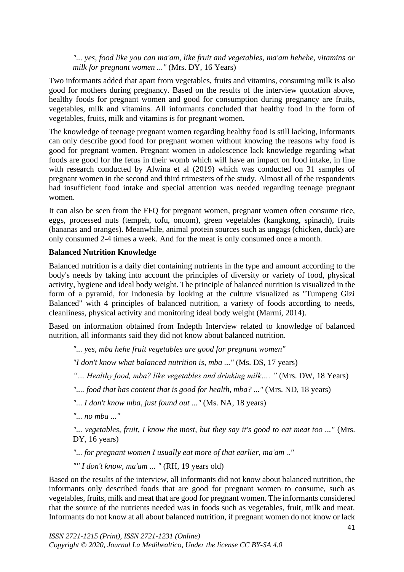*"... yes, food like you can ma'am, like fruit and vegetables, ma'am hehehe, vitamins or milk for pregnant women ..."* (Mrs. DY, 16 Years)

Two informants added that apart from vegetables, fruits and vitamins, consuming milk is also good for mothers during pregnancy. Based on the results of the interview quotation above, healthy foods for pregnant women and good for consumption during pregnancy are fruits, vegetables, milk and vitamins. All informants concluded that healthy food in the form of vegetables, fruits, milk and vitamins is for pregnant women.

The knowledge of teenage pregnant women regarding healthy food is still lacking, informants can only describe good food for pregnant women without knowing the reasons why food is good for pregnant women. Pregnant women in adolescence lack knowledge regarding what foods are good for the fetus in their womb which will have an impact on food intake, in line with research conducted by Alwina et al (2019) which was conducted on 31 samples of pregnant women in the second and third trimesters of the study. Almost all of the respondents had insufficient food intake and special attention was needed regarding teenage pregnant women.

It can also be seen from the FFQ for pregnant women, pregnant women often consume rice, eggs, processed nuts (tempeh, tofu, oncom), green vegetables (kangkong, spinach), fruits (bananas and oranges). Meanwhile, animal protein sources such as ungags (chicken, duck) are only consumed 2-4 times a week. And for the meat is only consumed once a month.

# **Balanced Nutrition Knowledge**

Balanced nutrition is a daily diet containing nutrients in the type and amount according to the body's needs by taking into account the principles of diversity or variety of food, physical activity, hygiene and ideal body weight. The principle of balanced nutrition is visualized in the form of a pyramid, for Indonesia by looking at the culture visualized as "Tumpeng Gizi Balanced" with 4 principles of balanced nutrition, a variety of foods according to needs, cleanliness, physical activity and monitoring ideal body weight (Marmi, 2014).

Based on information obtained from Indepth Interview related to knowledge of balanced nutrition, all informants said they did not know about balanced nutrition.

*"... yes, mba hehe fruit vegetables are good for pregnant women"*

*"I don't know what balanced nutrition is, mba ..."* (Ms. DS, 17 years)

*"… Healthy food, mba? like vegetables and drinking milk…. "* (Mrs. DW, 18 Years)

*".... food that has content that is good for health, mba? ..."* (Mrs. ND, 18 years)

*"... I don't know mba, just found out ..."* (Ms. NA, 18 years)

*"... no mba ..."*

*"... vegetables, fruit, I know the most, but they say it's good to eat meat too ..."* (Mrs. DY, 16 years)

*"... for pregnant women I usually eat more of that earlier, ma'am .."*

*"" I don't know, ma'am ... "* (RH, 19 years old)

Based on the results of the interview, all informants did not know about balanced nutrition, the informants only described foods that are good for pregnant women to consume, such as vegetables, fruits, milk and meat that are good for pregnant women. The informants considered that the source of the nutrients needed was in foods such as vegetables, fruit, milk and meat. Informants do not know at all about balanced nutrition, if pregnant women do not know or lack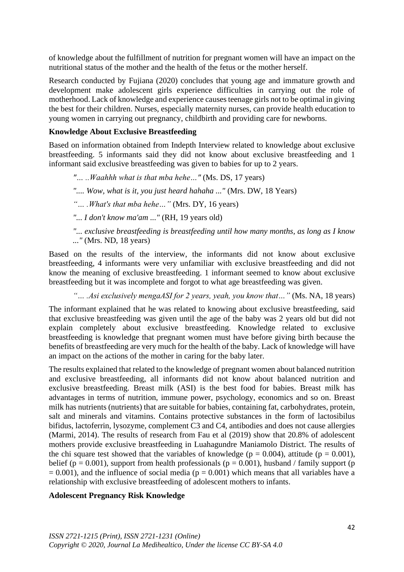of knowledge about the fulfillment of nutrition for pregnant women will have an impact on the nutritional status of the mother and the health of the fetus or the mother herself.

Research conducted by Fujiana (2020) concludes that young age and immature growth and development make adolescent girls experience difficulties in carrying out the role of motherhood. Lack of knowledge and experience causes teenage girls not to be optimal in giving the best for their children. Nurses, especially maternity nurses, can provide health education to young women in carrying out pregnancy, childbirth and providing care for newborns.

# **Knowledge About Exclusive Breastfeeding**

Based on information obtained from Indepth Interview related to knowledge about exclusive breastfeeding. 5 informants said they did not know about exclusive breastfeeding and 1 informant said exclusive breastfeeding was given to babies for up to 2 years.

*"… ..Waahhh what is that mba hehe…"* (Ms. DS, 17 years)

*".... Wow, what is it, you just heard hahaha ..."* (Mrs. DW, 18 Years)

*"… .What's that mba hehe…"* (Mrs. DY, 16 years)

*"... I don't know ma'am ..."* (RH, 19 years old)

*"... exclusive breastfeeding is breastfeeding until how many months, as long as I know ..."* (Mrs. ND, 18 years)

Based on the results of the interview, the informants did not know about exclusive breastfeeding, 4 informants were very unfamiliar with exclusive breastfeeding and did not know the meaning of exclusive breastfeeding. 1 informant seemed to know about exclusive breastfeeding but it was incomplete and forgot to what age breastfeeding was given.

*"… .Asi exclusively mengaASI for 2 years, yeah, you know that…"* (Ms. NA, 18 years)

The informant explained that he was related to knowing about exclusive breastfeeding, said that exclusive breastfeeding was given until the age of the baby was 2 years old but did not explain completely about exclusive breastfeeding. Knowledge related to exclusive breastfeeding is knowledge that pregnant women must have before giving birth because the benefits of breastfeeding are very much for the health of the baby. Lack of knowledge will have an impact on the actions of the mother in caring for the baby later.

The results explained that related to the knowledge of pregnant women about balanced nutrition and exclusive breastfeeding, all informants did not know about balanced nutrition and exclusive breastfeeding. Breast milk (ASI) is the best food for babies. Breast milk has advantages in terms of nutrition, immune power, psychology, economics and so on. Breast milk has nutrients (nutrients) that are suitable for babies, containing fat, carbohydrates, protein, salt and minerals and vitamins. Contains protective substances in the form of lactosibilus bifidus, lactoferrin, lysozyme, complement C3 and C4, antibodies and does not cause allergies (Marmi, 2014). The results of research from Fau et al (2019) show that 20.8% of adolescent mothers provide exclusive breastfeeding in Luahagundre Maniamolo District. The results of the chi square test showed that the variables of knowledge ( $p = 0.004$ ), attitude ( $p = 0.001$ ), belief ( $p = 0.001$ ), support from health professionals ( $p = 0.001$ ), husband / family support (p  $= 0.001$ ), and the influence of social media (p  $= 0.001$ ) which means that all variables have a relationship with exclusive breastfeeding of adolescent mothers to infants.

#### **Adolescent Pregnancy Risk Knowledge**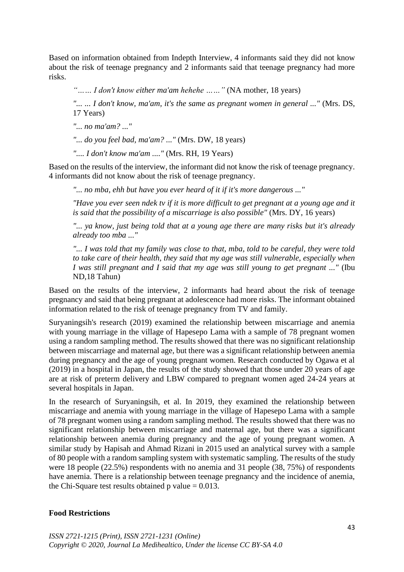Based on information obtained from Indepth Interview, 4 informants said they did not know about the risk of teenage pregnancy and 2 informants said that teenage pregnancy had more risks.

*"…… I don't know either ma'am hehehe ……"* (NA mother, 18 years)

*"... ... I don't know, ma'am, it's the same as pregnant women in general ..."* (Mrs. DS, 17 Years)

*"... no ma'am? ..."*

*"... do you feel bad, ma'am? ..."* (Mrs. DW, 18 years)

*".... I don't know ma'am ...."* (Mrs. RH, 19 Years)

Based on the results of the interview, the informant did not know the risk of teenage pregnancy. 4 informants did not know about the risk of teenage pregnancy.

*"... no mba, ehh but have you ever heard of it if it's more dangerous ..."*

*"Have you ever seen ndek tv if it is more difficult to get pregnant at a young age and it is said that the possibility of a miscarriage is also possible"* (Mrs. DY, 16 years)

*"... ya know, just being told that at a young age there are many risks but it's already already too mba ..."*

*"... I was told that my family was close to that, mba, told to be careful, they were told to take care of their health, they said that my age was still vulnerable, especially when I was still pregnant and I said that my age was still young to get pregnant ..."* (Ibu ND,18 Tahun)

Based on the results of the interview, 2 informants had heard about the risk of teenage pregnancy and said that being pregnant at adolescence had more risks. The informant obtained information related to the risk of teenage pregnancy from TV and family.

Suryaningsih's research (2019) examined the relationship between miscarriage and anemia with young marriage in the village of Hapesepo Lama with a sample of 78 pregnant women using a random sampling method. The results showed that there was no significant relationship between miscarriage and maternal age, but there was a significant relationship between anemia during pregnancy and the age of young pregnant women. Research conducted by Ogawa et al (2019) in a hospital in Japan, the results of the study showed that those under 20 years of age are at risk of preterm delivery and LBW compared to pregnant women aged 24-24 years at several hospitals in Japan.

In the research of Suryaningsih, et al. In 2019, they examined the relationship between miscarriage and anemia with young marriage in the village of Hapesepo Lama with a sample of 78 pregnant women using a random sampling method. The results showed that there was no significant relationship between miscarriage and maternal age, but there was a significant relationship between anemia during pregnancy and the age of young pregnant women. A similar study by Hapisah and Ahmad Rizani in 2015 used an analytical survey with a sample of 80 people with a random sampling system with systematic sampling. The results of the study were 18 people (22.5%) respondents with no anemia and 31 people (38, 75%) of respondents have anemia. There is a relationship between teenage pregnancy and the incidence of anemia, the Chi-Square test results obtained p value  $= 0.013$ .

#### **Food Restrictions**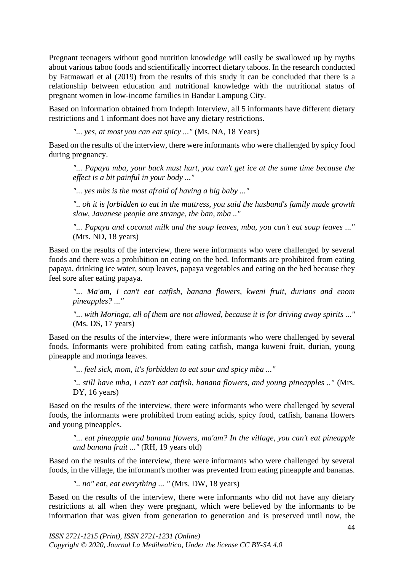Pregnant teenagers without good nutrition knowledge will easily be swallowed up by myths about various taboo foods and scientifically incorrect dietary taboos. In the research conducted by Fatmawati et al (2019) from the results of this study it can be concluded that there is a relationship between education and nutritional knowledge with the nutritional status of pregnant women in low-income families in Bandar Lampung City.

Based on information obtained from Indepth Interview, all 5 informants have different dietary restrictions and 1 informant does not have any dietary restrictions.

*"... yes, at most you can eat spicy ..."* (Ms. NA, 18 Years)

Based on the results of the interview, there were informants who were challenged by spicy food during pregnancy.

*"... Papaya mba, your back must hurt, you can't get ice at the same time because the effect is a bit painful in your body ..."*

*"... yes mbs is the most afraid of having a big baby ..."*

*".. oh it is forbidden to eat in the mattress, you said the husband's family made growth slow, Javanese people are strange, the ban, mba .."*

*"... Papaya and coconut milk and the soup leaves, mba, you can't eat soup leaves ..."* (Mrs. ND, 18 years)

Based on the results of the interview, there were informants who were challenged by several foods and there was a prohibition on eating on the bed. Informants are prohibited from eating papaya, drinking ice water, soup leaves, papaya vegetables and eating on the bed because they feel sore after eating papaya.

*"... Ma'am, I can't eat catfish, banana flowers, kweni fruit, durians and enom pineapples? ..."*

*"... with Moringa, all of them are not allowed, because it is for driving away spirits ..."* (Ms. DS, 17 years)

Based on the results of the interview, there were informants who were challenged by several foods. Informants were prohibited from eating catfish, manga kuweni fruit, durian, young pineapple and moringa leaves.

*"... feel sick, mom, it's forbidden to eat sour and spicy mba ..."*

*".. still have mba, I can't eat catfish, banana flowers, and young pineapples .."* (Mrs. DY, 16 years)

Based on the results of the interview, there were informants who were challenged by several foods, the informants were prohibited from eating acids, spicy food, catfish, banana flowers and young pineapples.

*"... eat pineapple and banana flowers, ma'am? In the village, you can't eat pineapple and banana fruit ..."* (RH, 19 years old)

Based on the results of the interview, there were informants who were challenged by several foods, in the village, the informant's mother was prevented from eating pineapple and bananas.

*".. no" eat, eat everything ... "* (Mrs. DW, 18 years)

Based on the results of the interview, there were informants who did not have any dietary restrictions at all when they were pregnant, which were believed by the informants to be information that was given from generation to generation and is preserved until now, the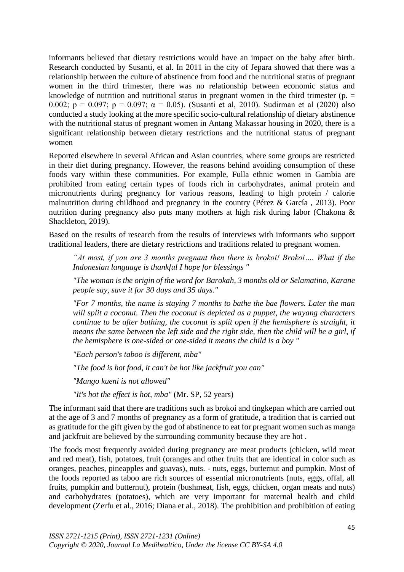informants believed that dietary restrictions would have an impact on the baby after birth. Research conducted by Susanti, et al. In 2011 in the city of Jepara showed that there was a relationship between the culture of abstinence from food and the nutritional status of pregnant women in the third trimester, there was no relationship between economic status and knowledge of nutrition and nutritional status in pregnant women in the third trimester ( $p =$ 0.002;  $p = 0.097$ ;  $p = 0.097$ ;  $\alpha = 0.05$ ). (Susanti et al, 2010). Sudirman et al (2020) also conducted a study looking at the more specific socio-cultural relationship of dietary abstinence with the nutritional status of pregnant women in Antang Makassar housing in 2020, there is a significant relationship between dietary restrictions and the nutritional status of pregnant women

Reported elsewhere in several African and Asian countries, where some groups are restricted in their diet during pregnancy. However, the reasons behind avoiding consumption of these foods vary within these communities. For example, Fulla ethnic women in Gambia are prohibited from eating certain types of foods rich in carbohydrates, animal protein and micronutrients during pregnancy for various reasons, leading to high protein / calorie malnutrition during childhood and pregnancy in the country (Pérez & García , 2013). Poor nutrition during pregnancy also puts many mothers at high risk during labor (Chakona & Shackleton, 2019).

Based on the results of research from the results of interviews with informants who support traditional leaders, there are dietary restrictions and traditions related to pregnant women.

*"At most, if you are 3 months pregnant then there is brokoi! Brokoi…. What if the Indonesian language is thankful I hope for blessings "*

*"The woman is the origin of the word for Barokah, 3 months old or Selamatino, Karane people say, save it for 30 days and 35 days."*

*"For 7 months, the name is staying 7 months to bathe the bae flowers. Later the man will split a coconut. Then the coconut is depicted as a puppet, the wayang characters continue to be after bathing, the coconut is split open if the hemisphere is straight, it means the same between the left side and the right side, then the child will be a girl, if the hemisphere is one-sided or one-sided it means the child is a boy "*

*"Each person's taboo is different, mba"*

*"The food is hot food, it can't be hot like jackfruit you can"*

*"Mango kueni is not allowed"*

*"It's hot the effect is hot, mba"* (Mr. SP, 52 years)

The informant said that there are traditions such as brokoi and tingkepan which are carried out at the age of 3 and 7 months of pregnancy as a form of gratitude, a tradition that is carried out as gratitude for the gift given by the god of abstinence to eat for pregnant women such as manga and jackfruit are believed by the surrounding community because they are hot .

The foods most frequently avoided during pregnancy are meat products (chicken, wild meat and red meat), fish, potatoes, fruit (oranges and other fruits that are identical in color such as oranges, peaches, pineapples and guavas), nuts. - nuts, eggs, butternut and pumpkin. Most of the foods reported as taboo are rich sources of essential micronutrients (nuts, eggs, offal, all fruits, pumpkin and butternut), protein (bushmeat, fish, eggs, chicken, organ meats and nuts) and carbohydrates (potatoes), which are very important for maternal health and child development (Zerfu et al., 2016; Diana et al., 2018). The prohibition and prohibition of eating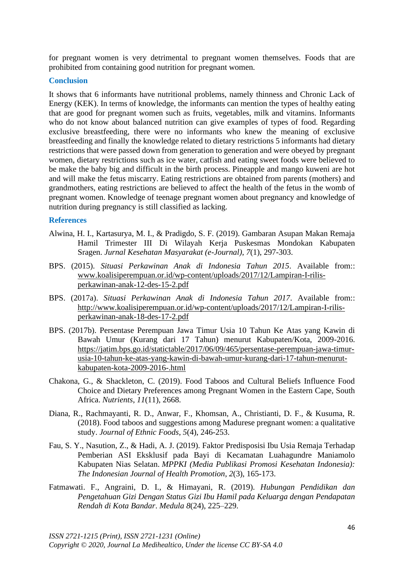for pregnant women is very detrimental to pregnant women themselves. Foods that are prohibited from containing good nutrition for pregnant women.

#### **Conclusion**

It shows that 6 informants have nutritional problems, namely thinness and Chronic Lack of Energy (KEK). In terms of knowledge, the informants can mention the types of healthy eating that are good for pregnant women such as fruits, vegetables, milk and vitamins. Informants who do not know about balanced nutrition can give examples of types of food. Regarding exclusive breastfeeding, there were no informants who knew the meaning of exclusive breastfeeding and finally the knowledge related to dietary restrictions 5 informants had dietary restrictions that were passed down from generation to generation and were obeyed by pregnant women, dietary restrictions such as ice water, catfish and eating sweet foods were believed to be make the baby big and difficult in the birth process. Pineapple and mango kuweni are hot and will make the fetus miscarry. Eating restrictions are obtained from parents (mothers) and grandmothers, eating restrictions are believed to affect the health of the fetus in the womb of pregnant women. Knowledge of teenage pregnant women about pregnancy and knowledge of nutrition during pregnancy is still classified as lacking.

### **References**

- Alwina, H. I., Kartasurya, M. I., & Pradigdo, S. F. (2019). Gambaran Asupan Makan Remaja Hamil Trimester III Di Wilayah Kerja Puskesmas Mondokan Kabupaten Sragen. *Jurnal Kesehatan Masyarakat (e-Journal)*, *7*(1), 297-303.
- BPS. (2015). *Situasi Perkawinan Anak di Indonesia Tahun 2015*. Available from:: [www.koalisiperempuan.or.id/wp-content/uploads/2017/12/Lampiran-I-rilis](http://www.koalisiperempuan.or.id/wp-content/uploads/2017/12/Lampiran-I-rilis-perkawinan-anak-12-des-15-2.pdf)[perkawinan-anak-12-des-15-2.pdf](http://www.koalisiperempuan.or.id/wp-content/uploads/2017/12/Lampiran-I-rilis-perkawinan-anak-12-des-15-2.pdf)
- BPS. (2017a). *Situasi Perkawinan Anak di Indonesia Tahun 2017*. Available from:: http://www.koalisiperempuan.or.id/wp-content/uploads/2017/12/Lampiran-I-rilisperkawinan-anak-18-des-17-2.pdf
- BPS. (2017b). Persentase Perempuan Jawa Timur Usia 10 Tahun Ke Atas yang Kawin di Bawah Umur (Kurang dari 17 Tahun) menurut Kabupaten/Kota, 2009-2016. [https://jatim.bps.go.id/statictable/2017/06/09/465/persentase-perempuan-jawa-timur](https://jatim.bps.go.id/statictable/2017/06/09/465/persentase-perempuan-jawa-timur-usia-10-tahun-ke-atas-yang-kawin-di-bawah-umur-kurang-dari-17-tahun-menurut-kabupaten-kota-2009-2016-.html)[usia-10-tahun-ke-atas-yang-kawin-di-bawah-umur-kurang-dari-17-tahun-menurut](https://jatim.bps.go.id/statictable/2017/06/09/465/persentase-perempuan-jawa-timur-usia-10-tahun-ke-atas-yang-kawin-di-bawah-umur-kurang-dari-17-tahun-menurut-kabupaten-kota-2009-2016-.html)[kabupaten-kota-2009-2016-.html](https://jatim.bps.go.id/statictable/2017/06/09/465/persentase-perempuan-jawa-timur-usia-10-tahun-ke-atas-yang-kawin-di-bawah-umur-kurang-dari-17-tahun-menurut-kabupaten-kota-2009-2016-.html)
- Chakona, G., & Shackleton, C. (2019). Food Taboos and Cultural Beliefs Influence Food Choice and Dietary Preferences among Pregnant Women in the Eastern Cape, South Africa. *Nutrients*, *11*(11), 2668.
- Diana, R., Rachmayanti, R. D., Anwar, F., Khomsan, A., Christianti, D. F., & Kusuma, R. (2018). Food taboos and suggestions among Madurese pregnant women: a qualitative study. *Journal of Ethnic Foods*, *5*(4), 246-253.
- Fau, S. Y., Nasution, Z., & Hadi, A. J. (2019). Faktor Predisposisi Ibu Usia Remaja Terhadap Pemberian ASI Eksklusif pada Bayi di Kecamatan Luahagundre Maniamolo Kabupaten Nias Selatan. *MPPKI (Media Publikasi Promosi Kesehatan Indonesia): The Indonesian Journal of Health Promotion*, *2*(3), 165-173.
- Fatmawati. F., Angraini, D. I., & Himayani, R. (2019). *Hubungan Pendidikan dan Pengetahuan Gizi Dengan Status Gizi Ibu Hamil pada Keluarga dengan Pendapatan Rendah di Kota Bandar*. *Medula 8*(24), 225–229.